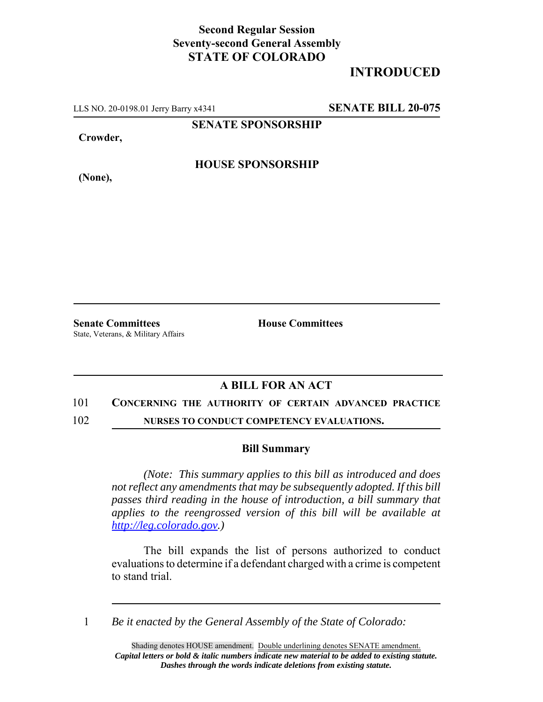## **Second Regular Session Seventy-second General Assembly STATE OF COLORADO**

# **INTRODUCED**

LLS NO. 20-0198.01 Jerry Barry x4341 **SENATE BILL 20-075**

**SENATE SPONSORSHIP**

**Crowder,**

**HOUSE SPONSORSHIP**

**(None),**

**Senate Committees House Committees** State, Veterans, & Military Affairs

### **A BILL FOR AN ACT**

#### 101 **CONCERNING THE AUTHORITY OF CERTAIN ADVANCED PRACTICE**

102 **NURSES TO CONDUCT COMPETENCY EVALUATIONS.**

#### **Bill Summary**

*(Note: This summary applies to this bill as introduced and does not reflect any amendments that may be subsequently adopted. If this bill passes third reading in the house of introduction, a bill summary that applies to the reengrossed version of this bill will be available at http://leg.colorado.gov.)*

The bill expands the list of persons authorized to conduct evaluations to determine if a defendant charged with a crime is competent to stand trial.

1 *Be it enacted by the General Assembly of the State of Colorado:*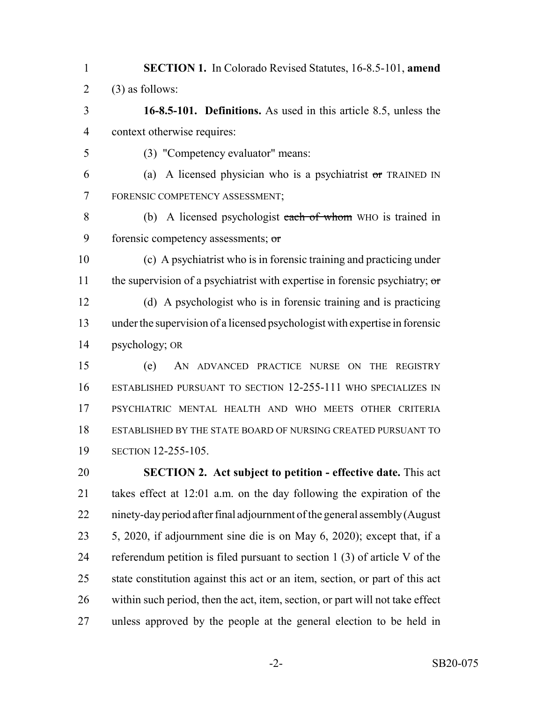- **SECTION 1.** In Colorado Revised Statutes, 16-8.5-101, **amend** 2 (3) as follows:
- **16-8.5-101. Definitions.** As used in this article 8.5, unless the context otherwise requires:
- (3) "Competency evaluator" means:
- 6 (a) A licensed physician who is a psychiatrist or TRAINED IN FORENSIC COMPETENCY ASSESSMENT;
- (b) A licensed psychologist each of whom WHO is trained in 9 forensic competency assessments; or
- (c) A psychiatrist who is in forensic training and practicing under 11 the supervision of a psychiatrist with expertise in forensic psychiatry; or (d) A psychologist who is in forensic training and is practicing under the supervision of a licensed psychologist with expertise in forensic psychology; OR
- (e) AN ADVANCED PRACTICE NURSE ON THE REGISTRY ESTABLISHED PURSUANT TO SECTION 12-255-111 WHO SPECIALIZES IN PSYCHIATRIC MENTAL HEALTH AND WHO MEETS OTHER CRITERIA ESTABLISHED BY THE STATE BOARD OF NURSING CREATED PURSUANT TO SECTION 12-255-105.
- **SECTION 2. Act subject to petition effective date.** This act takes effect at 12:01 a.m. on the day following the expiration of the ninety-day period after final adjournment of the general assembly (August 5, 2020, if adjournment sine die is on May 6, 2020); except that, if a referendum petition is filed pursuant to section 1 (3) of article V of the state constitution against this act or an item, section, or part of this act within such period, then the act, item, section, or part will not take effect unless approved by the people at the general election to be held in